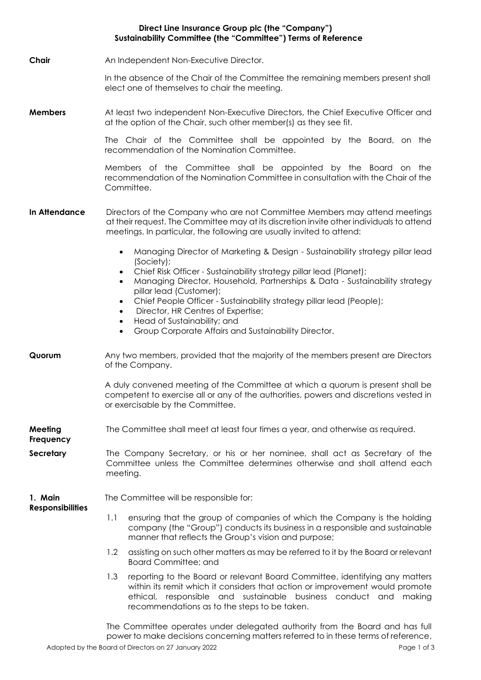### **Direct Line Insurance Group plc (the "Company") Sustainability Committee (the "Committee") Terms of Reference**

**Chair** An Independent Non-Executive Director.

In the absence of the Chair of the Committee the remaining members present shall elect one of themselves to chair the meeting.

**Members** At least two independent Non-Executive Directors, the Chief Executive Officer and at the option of the Chair, such other member(s) as they see fit.

> The Chair of the Committee shall be appointed by the Board, on the recommendation of the Nomination Committee.

> Members of the Committee shall be appointed by the Board on the recommendation of the Nomination Committee in consultation with the Chair of the Committee.

- **In Attendance** Directors of the Company who are not Committee Members may attend meetings at their request. The Committee may at its discretion invite other individuals to attend meetings. In particular, the following are usually invited to attend:
	- Managing Director of Marketing & Design Sustainability strategy pillar lead (Society);
	- Chief Risk Officer Sustainability strategy pillar lead (Planet);
	- Managing Director, Household, Partnerships & Data Sustainability strategy pillar lead (Customer);
	- Chief People Officer Sustainability strategy pillar lead (People);
	- Director, HR Centres of Expertise;
	- Head of Sustainability; and
	- Group Corporate Affairs and Sustainability Director.
- **Quorum** Any two members, provided that the majority of the members present are Directors of the Company.

A duly convened meeting of the Committee at which a quorum is present shall be competent to exercise all or any of the authorities, powers and discretions vested in or exercisable by the Committee.

- **Meeting**  The Committee shall meet at least four times a year, and otherwise as required.
- **Secretary** The Company Secretary, or his or her nominee, shall act as Secretary of the Committee unless the Committee determines otherwise and shall attend each meeting.

#### **1. Main**  The Committee will be responsible for:

**Responsibilities**

**Frequency**

- 1.1 ensuring that the group of companies of which the Company is the holding company (the "Group") conducts its business in a responsible and sustainable manner that reflects the Group's vision and purpose;
- 1.2 assisting on such other matters as may be referred to it by the Board or relevant Board Committee; and
- 1.3 reporting to the Board or relevant Board Committee, identifying any matters within its remit which it considers that action or improvement would promote ethical, responsible and sustainable business conduct and making recommendations as to the steps to be taken.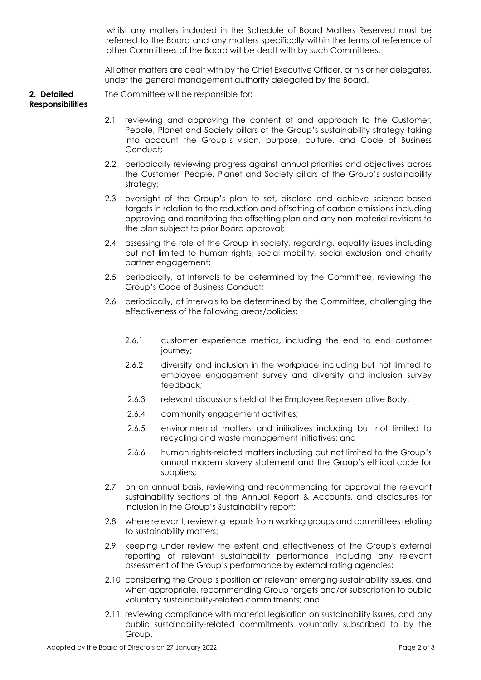whilst any matters included in the Schedule of Board Matters Reserved must be referred to the Board and any matters specifically within the terms of reference of other Committees of the Board will be dealt with by such Committees.

All other matters are dealt with by the Chief Executive Officer, or his or her delegates, under the general management authority delegated by the Board.

**2. Detailed**  The Committee will be responsible for:

# **Responsibilities**

- 2.1 reviewing and approving the content of and approach to the Customer, People, Planet and Society pillars of the Group's sustainability strategy taking into account the Group's vision, purpose, culture, and Code of Business Conduct;
- 2.2 periodically reviewing progress against annual priorities and objectives across the Customer, People, Planet and Society pillars of the Group's sustainability strategy;
- 2.3 oversight of the Group's plan to set, disclose and achieve science-based targets in relation to the reduction and offsetting of carbon emissions including approving and monitoring the offsetting plan and any non-material revisions to the plan subject to prior Board approval;
- 2.4 assessing the role of the Group in society, regarding, equality issues including but not limited to human rights, social mobility, social exclusion and charity partner engagement;
- 2.5 periodically, at intervals to be determined by the Committee, reviewing the Group's Code of Business Conduct;
- 2.6 periodically, at intervals to be determined by the Committee, challenging the effectiveness of the following areas/policies:
	- 2.6.1 customer experience metrics, including the end to end customer iourney;
	- 2.6.2 diversity and inclusion in the workplace including but not limited to employee engagement survey and diversity and inclusion survey feedback;
	- 2.6.3 relevant discussions held at the Employee Representative Body;
	- 2.6.4 community engagement activities;
	- 2.6.5 environmental matters and initiatives including but not limited to recycling and waste management initiatives; and
	- 2.6.6 human rights-related matters including but not limited to the Group's annual modern slavery statement and the Group's ethical code for suppliers;
- 2.7 on an annual basis, reviewing and recommending for approval the relevant sustainability sections of the Annual Report & Accounts, and disclosures for inclusion in the Group's Sustainability report;
- 2.8 where relevant, reviewing reports from working groups and committees relating to sustainability matters;
- 2.9 keeping under review the extent and effectiveness of the Group's external reporting of relevant sustainability performance including any relevant assessment of the Group's performance by external rating agencies;
- 2.10 considering the Group's position on relevant emerging sustainability issues, and when appropriate, recommending Group targets and/or subscription to public voluntary sustainability-related commitments; and
- 2.11 reviewing compliance with material legislation on sustainability issues, and any public sustainability-related commitments voluntarily subscribed to by the Group.